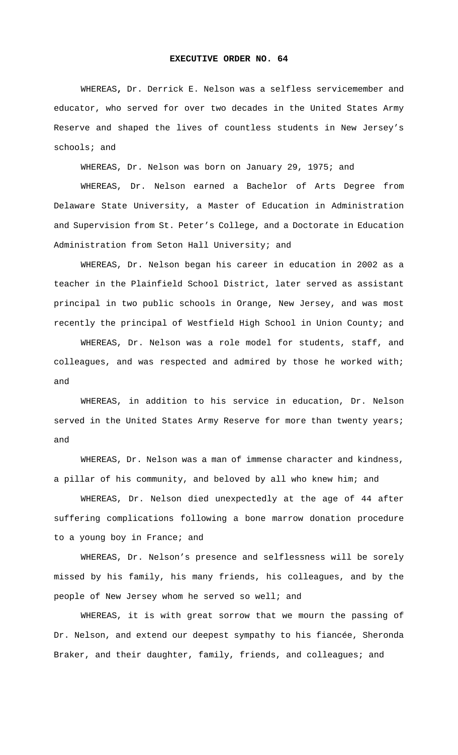## **EXECUTIVE ORDER NO. 64**

 WHEREAS**,** Dr. Derrick E. Nelson was a selfless servicemember and educator, who served for over two decades in the United States Army Reserve and shaped the lives of countless students in New Jersey's schools; and

WHEREAS, Dr. Nelson was born on January 29, 1975; and

WHEREAS, Dr. Nelson earned a Bachelor of Arts Degree from Delaware State University, a Master of Education in Administration and Supervision from St. Peter's College, and a Doctorate in Education Administration from Seton Hall University; and

WHEREAS, Dr. Nelson began his career in education in 2002 as a teacher in the Plainfield School District, later served as assistant principal in two public schools in Orange, New Jersey, and was most recently the principal of Westfield High School in Union County; and

WHEREAS, Dr. Nelson was a role model for students, staff, and colleagues, and was respected and admired by those he worked with; and

WHEREAS, in addition to his service in education, Dr. Nelson served in the United States Army Reserve for more than twenty years; and

WHEREAS, Dr. Nelson was a man of immense character and kindness, a pillar of his community, and beloved by all who knew him; and

WHEREAS, Dr. Nelson died unexpectedly at the age of 44 after suffering complications following a bone marrow donation procedure to a young boy in France; and

WHEREAS, Dr. Nelson's presence and selflessness will be sorely missed by his family, his many friends, his colleagues, and by the people of New Jersey whom he served so well; and

WHEREAS, it is with great sorrow that we mourn the passing of Dr. Nelson, and extend our deepest sympathy to his fiancée, Sheronda Braker, and their daughter, family, friends, and colleagues; and